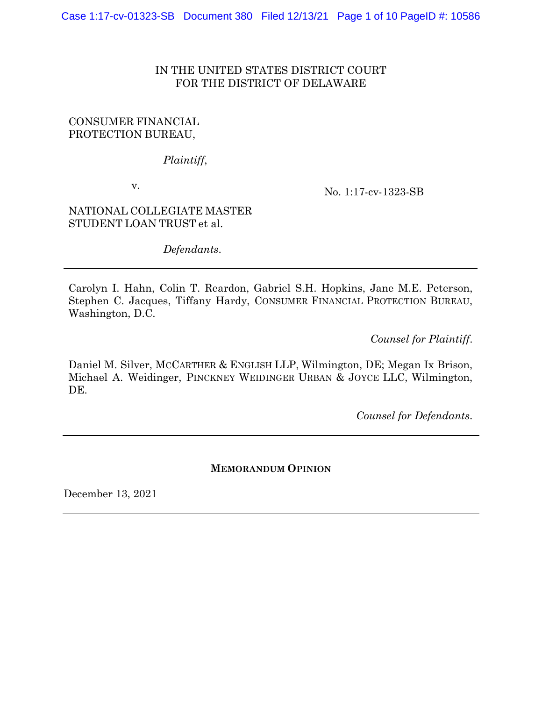# IN THE UNITED STATES DISTRICT COURT FOR THE DISTRICT OF DELAWARE

## CONSUMER FINANCIAL PROTECTION BUREAU,

*Plaintiff*,

v.

No. 1:17-cv-1323-SB

NATIONAL COLLEGIATE MASTER STUDENT LOAN TRUST et al.

*Defendants*.

Carolyn I. Hahn, Colin T. Reardon, Gabriel S.H. Hopkins, Jane M.E. Peterson, Stephen C. Jacques, Tiffany Hardy, CONSUMER FINANCIAL PROTECTION BUREAU, Washington, D.C.

*Counsel for Plaintiff*.

Daniel M. Silver, MCCARTHER & ENGLISH LLP, Wilmington, DE; Megan Ix Brison, Michael A. Weidinger, PINCKNEY WEIDINGER URBAN & JOYCE LLC, Wilmington, DE.

*Counsel for Defendants*.

## **MEMORANDUM OPINION**

December 13, 2021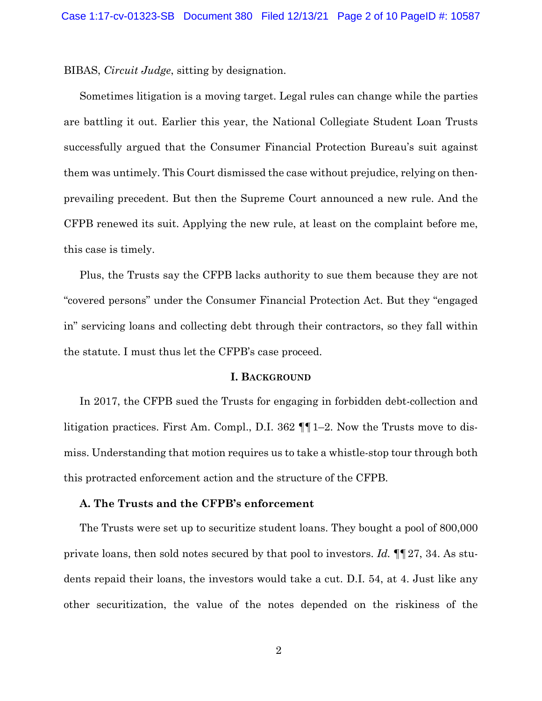BIBAS, *Circuit Judge*, sitting by designation.

Sometimes litigation is a moving target. Legal rules can change while the parties are battling it out. Earlier this year, the National Collegiate Student Loan Trusts successfully argued that the Consumer Financial Protection Bureau's suit against them was untimely. This Court dismissed the case without prejudice, relying on thenprevailing precedent. But then the Supreme Court announced a new rule. And the CFPB renewed its suit. Applying the new rule, at least on the complaint before me, this case is timely.

Plus, the Trusts say the CFPB lacks authority to sue them because they are not "covered persons" under the Consumer Financial Protection Act. But they "engaged in" servicing loans and collecting debt through their contractors, so they fall within the statute. I must thus let the CFPB's case proceed.

#### **I. BACKGROUND**

In 2017, the CFPB sued the Trusts for engaging in forbidden debt-collection and litigation practices. First Am. Compl., D.I. 362 ¶¶1–2. Now the Trusts move to dismiss. Understanding that motion requires us to take a whistle-stop tour through both this protracted enforcement action and the structure of the CFPB.

### **A. The Trusts and the CFPB's enforcement**

The Trusts were set up to securitize student loans. They bought a pool of 800,000 private loans, then sold notes secured by that pool to investors. *Id.* ¶¶27, 34. As students repaid their loans, the investors would take a cut. D.I. 54, at 4. Just like any other securitization, the value of the notes depended on the riskiness of the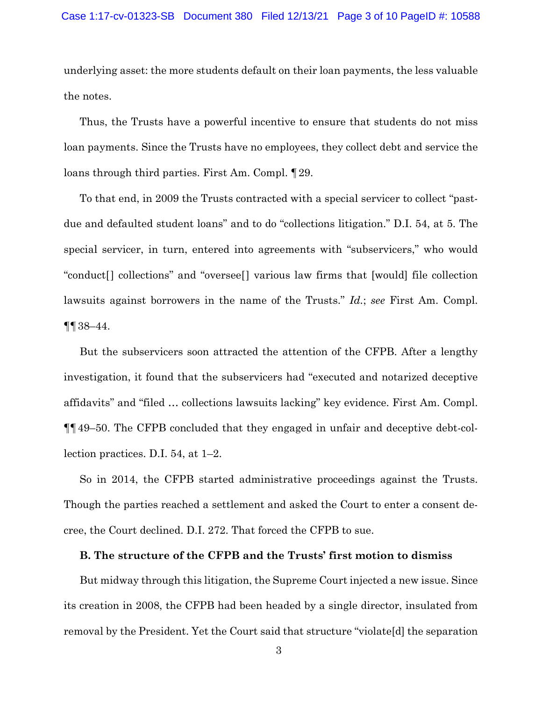underlying asset: the more students default on their loan payments, the less valuable the notes.

Thus, the Trusts have a powerful incentive to ensure that students do not miss loan payments. Since the Trusts have no employees, they collect debt and service the loans through third parties. First Am. Compl. ¶29.

To that end, in 2009 the Trusts contracted with a special servicer to collect "pastdue and defaulted student loans" and to do "collections litigation." D.I. 54, at 5. The special servicer, in turn, entered into agreements with "subservicers," who would "conduct[] collections" and "oversee[] various law firms that [would] file collection lawsuits against borrowers in the name of the Trusts." *Id.*; *see* First Am. Compl. ¶¶38–44.

But the subservicers soon attracted the attention of the CFPB. After a lengthy investigation, it found that the subservicers had "executed and notarized deceptive affidavits" and "filed … collections lawsuits lacking" key evidence. First Am. Compl. ¶¶49–50. The CFPB concluded that they engaged in unfair and deceptive debt-collection practices. D.I. 54, at 1–2.

So in 2014, the CFPB started administrative proceedings against the Trusts. Though the parties reached a settlement and asked the Court to enter a consent decree, the Court declined. D.I. 272. That forced the CFPB to sue.

## **B. The structure of the CFPB and the Trusts' first motion to dismiss**

But midway through this litigation, the Supreme Court injected a new issue. Since its creation in 2008, the CFPB had been headed by a single director, insulated from removal by the President. Yet the Court said that structure "violate[d] the separation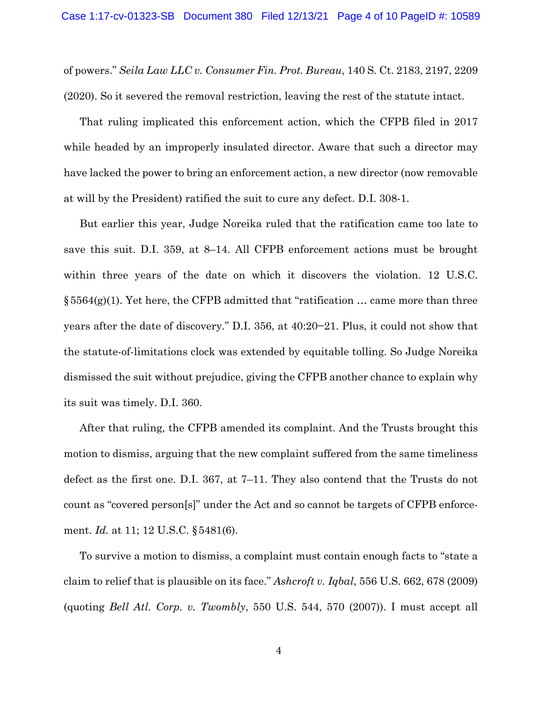of powers." *Seila Law LLC v. Consumer Fin. Prot. Bureau*, 140 S. Ct. 2183, 2197, 2209 (2020). So it severed the removal restriction, leaving the rest of the statute intact.

That ruling implicated this enforcement action, which the CFPB filed in 2017 while headed by an improperly insulated director. Aware that such a director may have lacked the power to bring an enforcement action, a new director (now removable at will by the President) ratified the suit to cure any defect. D.I. 308-1.

But earlier this year, Judge Noreika ruled that the ratification came too late to save this suit. D.I. 359, at 8–14. All CFPB enforcement actions must be brought within three years of the date on which it discovers the violation. 12 U.S.C.  $§5564(g)(1)$ . Yet here, the CFPB admitted that "ratification ... came more than three years after the date of discovery." D.I. 356, at 40:20−21. Plus, it could not show that the statute-of-limitations clock was extended by equitable tolling. So Judge Noreika dismissed the suit without prejudice, giving the CFPB another chance to explain why its suit was timely. D.I. 360.

After that ruling, the CFPB amended its complaint. And the Trusts brought this motion to dismiss, arguing that the new complaint suffered from the same timeliness defect as the first one. D.I. 367, at 7–11. They also contend that the Trusts do not count as "covered person[s]" under the Act and so cannot be targets of CFPB enforcement. *Id.* at 11; 12 U.S.C. §5481(6).

To survive a motion to dismiss, a complaint must contain enough facts to "state a claim to relief that is plausible on its face." *Ashcroft v. Iqbal*, 556 U.S. 662, 678 (2009) (quoting *Bell Atl. Corp. v. Twombly*, 550 U.S. 544, 570 (2007)). I must accept all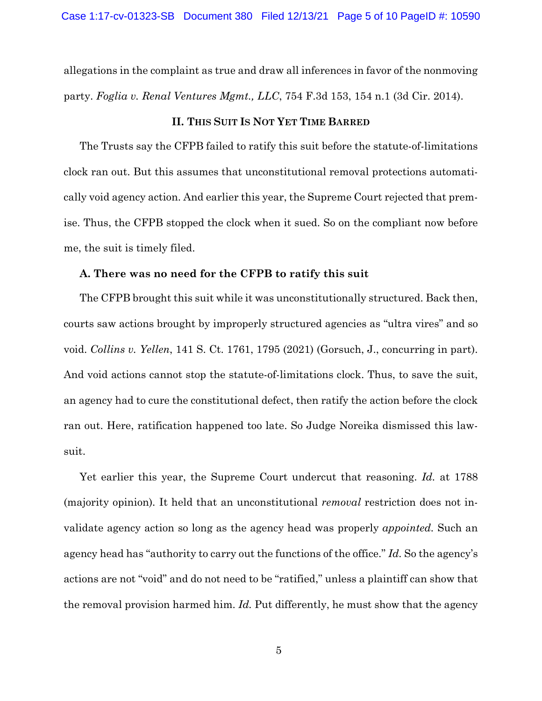allegations in the complaint as true and draw all inferences in favor of the nonmoving party. *Foglia v. Renal Ventures Mgmt., LLC*, 754 F.3d 153, 154 n.1 (3d Cir. 2014).

### **II. THIS SUIT IS NOT YET TIME BARRED**

The Trusts say the CFPB failed to ratify this suit before the statute-of-limitations clock ran out. But this assumes that unconstitutional removal protections automatically void agency action. And earlier this year, the Supreme Court rejected that premise. Thus, the CFPB stopped the clock when it sued. So on the compliant now before me, the suit is timely filed.

### **A. There was no need for the CFPB to ratify this suit**

The CFPB brought this suit while it was unconstitutionally structured. Back then, courts saw actions brought by improperly structured agencies as "ultra vires" and so void. *Collins v. Yellen*, 141 S. Ct. 1761, 1795 (2021) (Gorsuch, J., concurring in part). And void actions cannot stop the statute-of-limitations clock. Thus, to save the suit, an agency had to cure the constitutional defect, then ratify the action before the clock ran out. Here, ratification happened too late. So Judge Noreika dismissed this lawsuit.

Yet earlier this year, the Supreme Court undercut that reasoning. *Id.* at 1788 (majority opinion)*.* It held that an unconstitutional *removal* restriction does not invalidate agency action so long as the agency head was properly *appointed.* Such an agency head has "authority to carry out the functions of the office." *Id.* So the agency's actions are not "void" and do not need to be "ratified," unless a plaintiff can show that the removal provision harmed him. *Id.* Put differently, he must show that the agency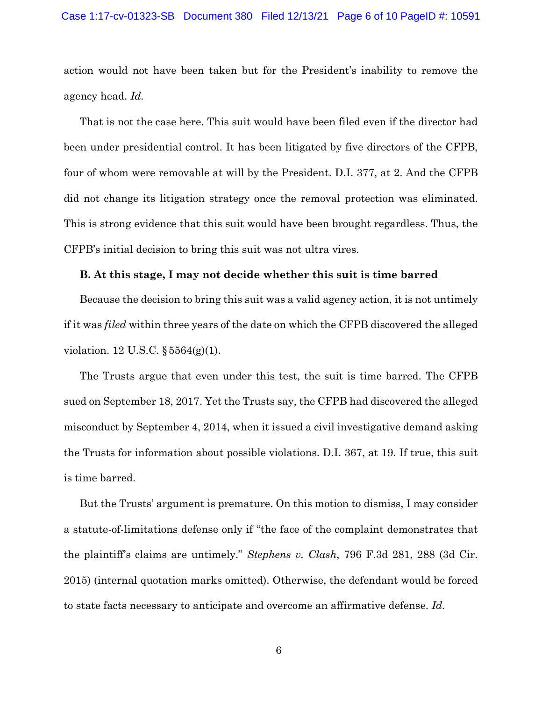action would not have been taken but for the President's inability to remove the agency head. *Id.*

That is not the case here. This suit would have been filed even if the director had been under presidential control. It has been litigated by five directors of the CFPB, four of whom were removable at will by the President. D.I. 377, at 2. And the CFPB did not change its litigation strategy once the removal protection was eliminated. This is strong evidence that this suit would have been brought regardless. Thus, the CFPB's initial decision to bring this suit was not ultra vires.

### **B. At this stage, I may not decide whether this suit is time barred**

Because the decision to bring this suit was a valid agency action, it is not untimely if it was *filed* within three years of the date on which the CFPB discovered the alleged violation. 12 U.S.C. §5564(g)(1).

The Trusts argue that even under this test, the suit is time barred. The CFPB sued on September 18, 2017. Yet the Trusts say, the CFPB had discovered the alleged misconduct by September 4, 2014, when it issued a civil investigative demand asking the Trusts for information about possible violations. D.I. 367, at 19. If true, this suit is time barred.

But the Trusts' argument is premature. On this motion to dismiss, I may consider a statute-of-limitations defense only if "the face of the complaint demonstrates that the plaintiff's claims are untimely." *Stephens v. Clash*, 796 F.3d 281, 288 (3d Cir. 2015) (internal quotation marks omitted). Otherwise, the defendant would be forced to state facts necessary to anticipate and overcome an affirmative defense. *Id.*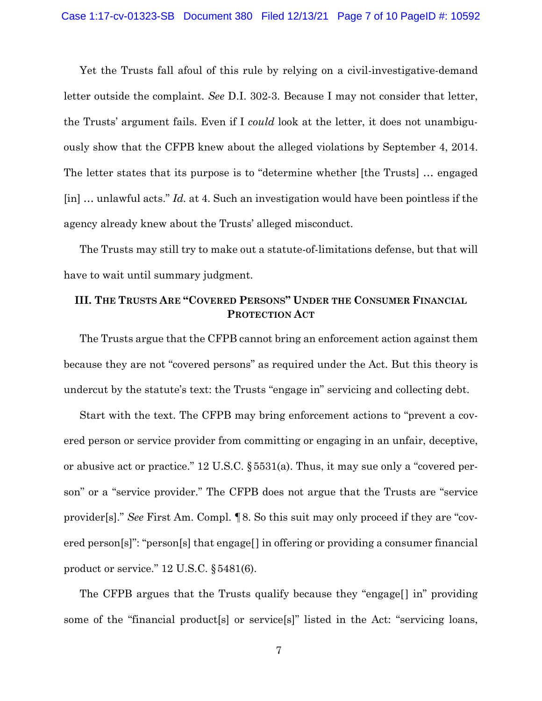Yet the Trusts fall afoul of this rule by relying on a civil-investigative-demand letter outside the complaint. *See* D.I. 302-3. Because I may not consider that letter, the Trusts' argument fails. Even if I *could* look at the letter, it does not unambiguously show that the CFPB knew about the alleged violations by September 4, 2014. The letter states that its purpose is to "determine whether [the Trusts] … engaged [in] … unlawful acts." *Id.* at 4. Such an investigation would have been pointless if the agency already knew about the Trusts' alleged misconduct.

The Trusts may still try to make out a statute-of-limitations defense, but that will have to wait until summary judgment.

# **III. THE TRUSTS ARE "COVERED PERSONS" UNDER THE CONSUMER FINANCIAL PROTECTION ACT**

The Trusts argue that the CFPB cannot bring an enforcement action against them because they are not "covered persons" as required under the Act. But this theory is undercut by the statute's text: the Trusts "engage in" servicing and collecting debt.

Start with the text. The CFPB may bring enforcement actions to "prevent a covered person or service provider from committing or engaging in an unfair, deceptive, or abusive act or practice." 12 U.S.C. §5531(a). Thus, it may sue only a "covered person" or a "service provider." The CFPB does not argue that the Trusts are "service provider[s]." *See* First Am. Compl. ¶8. So this suit may only proceed if they are "covered person[s]": "person[s] that engage[] in offering or providing a consumer financial product or service." 12 U.S.C. §5481(6).

The CFPB argues that the Trusts qualify because they "engage[] in" providing some of the "financial product[s] or service[s]" listed in the Act: "servicing loans,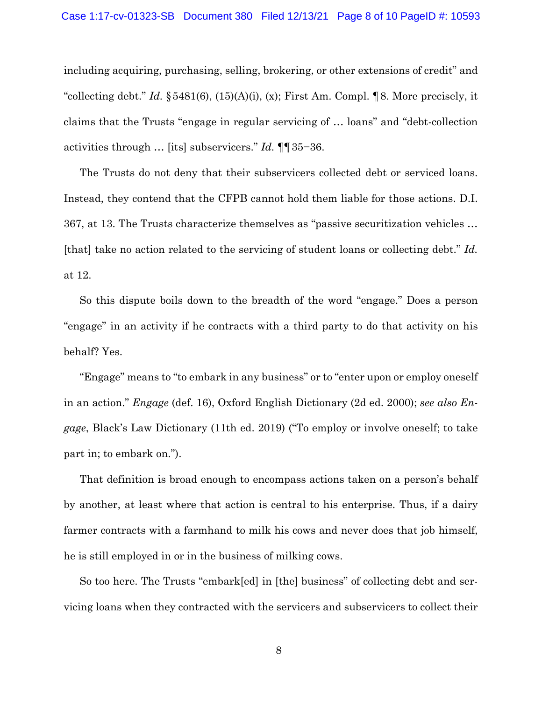including acquiring, purchasing, selling, brokering, or other extensions of credit" and "collecting debt." *Id.* §5481(6), (15)(A)(i), (x); First Am. Compl. ¶8. More precisely, it claims that the Trusts "engage in regular servicing of … loans" and "debt-collection activities through … [its] subservicers." *Id.* ¶¶35−36.

The Trusts do not deny that their subservicers collected debt or serviced loans. Instead, they contend that the CFPB cannot hold them liable for those actions. D.I. 367, at 13. The Trusts characterize themselves as "passive securitization vehicles … [that] take no action related to the servicing of student loans or collecting debt." *Id.*  at 12.

So this dispute boils down to the breadth of the word "engage." Does a person "engage" in an activity if he contracts with a third party to do that activity on his behalf? Yes.

"Engage" means to "to embark in any business" or to "enter upon or employ oneself in an action." *Engage* (def. 16), Oxford English Dictionary (2d ed. 2000); *see also Engage*, Black's Law Dictionary (11th ed. 2019) ("To employ or involve oneself; to take part in; to embark on.").

That definition is broad enough to encompass actions taken on a person's behalf by another, at least where that action is central to his enterprise. Thus, if a dairy farmer contracts with a farmhand to milk his cows and never does that job himself, he is still employed in or in the business of milking cows.

So too here. The Trusts "embark[ed] in [the] business" of collecting debt and servicing loans when they contracted with the servicers and subservicers to collect their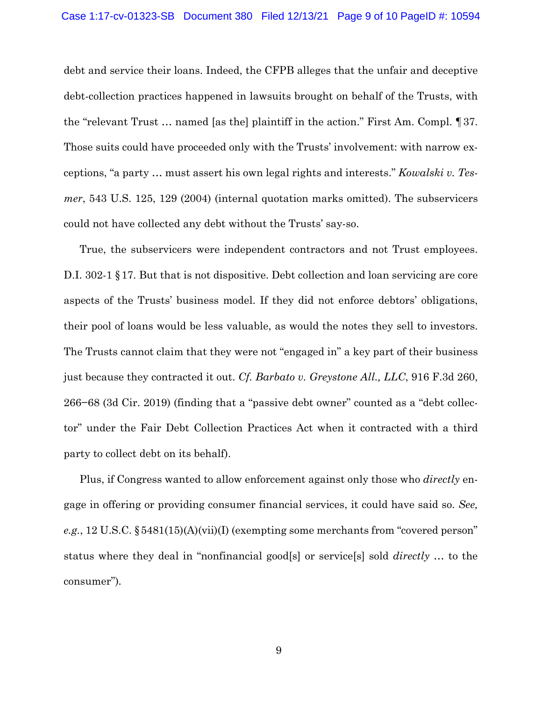debt and service their loans. Indeed, the CFPB alleges that the unfair and deceptive debt-collection practices happened in lawsuits brought on behalf of the Trusts, with the "relevant Trust … named [as the] plaintiff in the action." First Am. Compl. ¶37. Those suits could have proceeded only with the Trusts' involvement: with narrow exceptions, "a party … must assert his own legal rights and interests." *Kowalski v. Tesmer*, 543 U.S. 125, 129 (2004) (internal quotation marks omitted). The subservicers could not have collected any debt without the Trusts' say-so.

True, the subservicers were independent contractors and not Trust employees. D.I. 302-1 §17. But that is not dispositive. Debt collection and loan servicing are core aspects of the Trusts' business model. If they did not enforce debtors' obligations, their pool of loans would be less valuable, as would the notes they sell to investors. The Trusts cannot claim that they were not "engaged in" a key part of their business just because they contracted it out. *Cf. Barbato v. Greystone All., LLC*, 916 F.3d 260, 266−68 (3d Cir. 2019) (finding that a "passive debt owner" counted as a "debt collector" under the Fair Debt Collection Practices Act when it contracted with a third party to collect debt on its behalf).

Plus, if Congress wanted to allow enforcement against only those who *directly* engage in offering or providing consumer financial services, it could have said so. *See, e.g.*, 12 U.S.C. §5481(15)(A)(vii)(I) (exempting some merchants from "covered person" status where they deal in "nonfinancial good[s] or service[s] sold *directly* … to the consumer")*.*